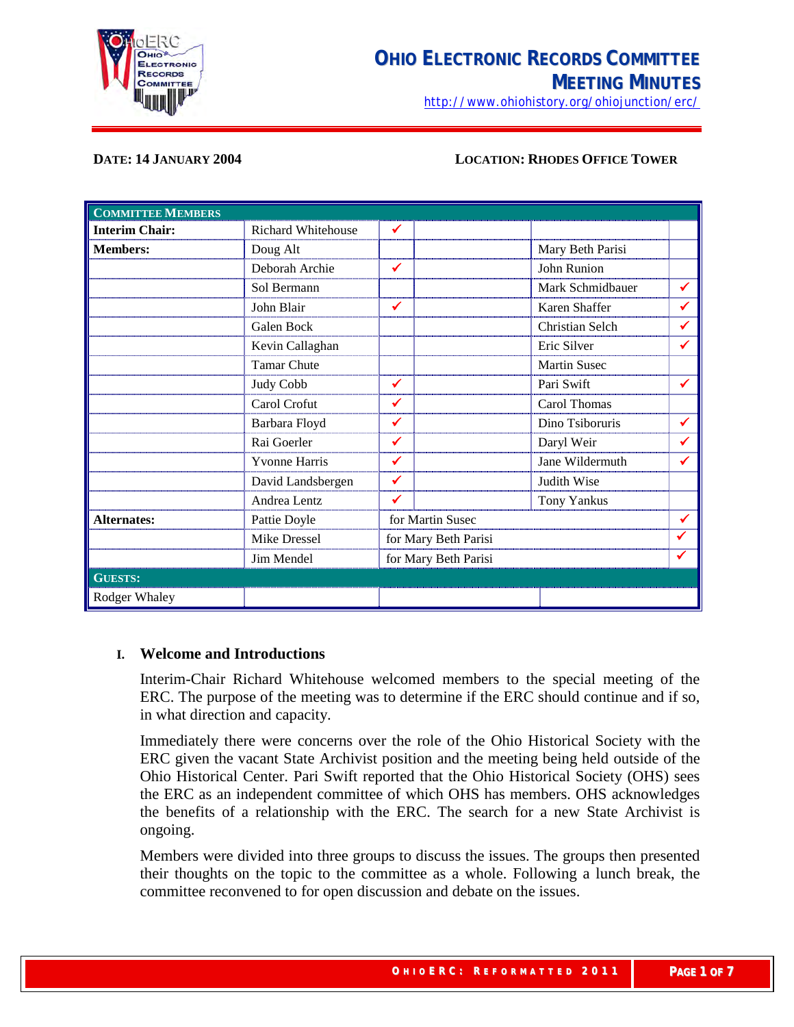

<http://www.ohiohistory.org/ohiojunction/erc/>

#### **DATE: 14 JANUARY 2004 LOCATION: RHODES OFFICE TOWER**

| <b>COMMITTEE MEMBERS</b> |                      |                      |                     |              |
|--------------------------|----------------------|----------------------|---------------------|--------------|
| <b>Interim Chair:</b>    | Richard Whitehouse   | ✓                    |                     |              |
| <b>Members:</b>          | Doug Alt             |                      | Mary Beth Parisi    |              |
|                          | Deborah Archie       | ✓                    | John Runion         |              |
|                          | Sol Bermann          |                      | Mark Schmidbauer    | ✔            |
|                          | John Blair           | ✓                    | Karen Shaffer       | ✔            |
|                          | Galen Bock           |                      | Christian Selch     | $\checkmark$ |
|                          | Kevin Callaghan      |                      | Eric Silver         | ✓            |
|                          | <b>Tamar Chute</b>   |                      | <b>Martin Susec</b> |              |
|                          | Judy Cobb            | ✓                    | Pari Swift          | ✓            |
|                          | Carol Crofut         | ✔                    | Carol Thomas        |              |
|                          | Barbara Floyd        | ✔                    | Dino Tsiboruris     | ✔            |
|                          | Rai Goerler          | ✓                    | Daryl Weir          | ✔            |
|                          | <b>Yvonne Harris</b> | ✓                    | Jane Wildermuth     | ✔            |
|                          | David Landsbergen    | ✓                    | Judith Wise         |              |
|                          | Andrea Lentz         | ✔                    | <b>Tony Yankus</b>  |              |
| <b>Alternates:</b>       | Pattie Doyle         | for Martin Susec     |                     | ✔            |
|                          | Mike Dressel         | for Mary Beth Parisi |                     | ✔            |
|                          | Jim Mendel           | for Mary Beth Parisi |                     | ✔            |
| <b>GUESTS:</b>           |                      |                      |                     |              |
| Rodger Whaley            |                      |                      |                     |              |

#### **I. Welcome and Introductions**

Interim-Chair Richard Whitehouse welcomed members to the special meeting of the ERC. The purpose of the meeting was to determine if the ERC should continue and if so, in what direction and capacity.

Immediately there were concerns over the role of the Ohio Historical Society with the ERC given the vacant State Archivist position and the meeting being held outside of the Ohio Historical Center. Pari Swift reported that the Ohio Historical Society (OHS) sees the ERC as an independent committee of which OHS has members. OHS acknowledges the benefits of a relationship with the ERC. The search for a new State Archivist is ongoing.

Members were divided into three groups to discuss the issues. The groups then presented their thoughts on the topic to the committee as a whole. Following a lunch break, the committee reconvened to for open discussion and debate on the issues.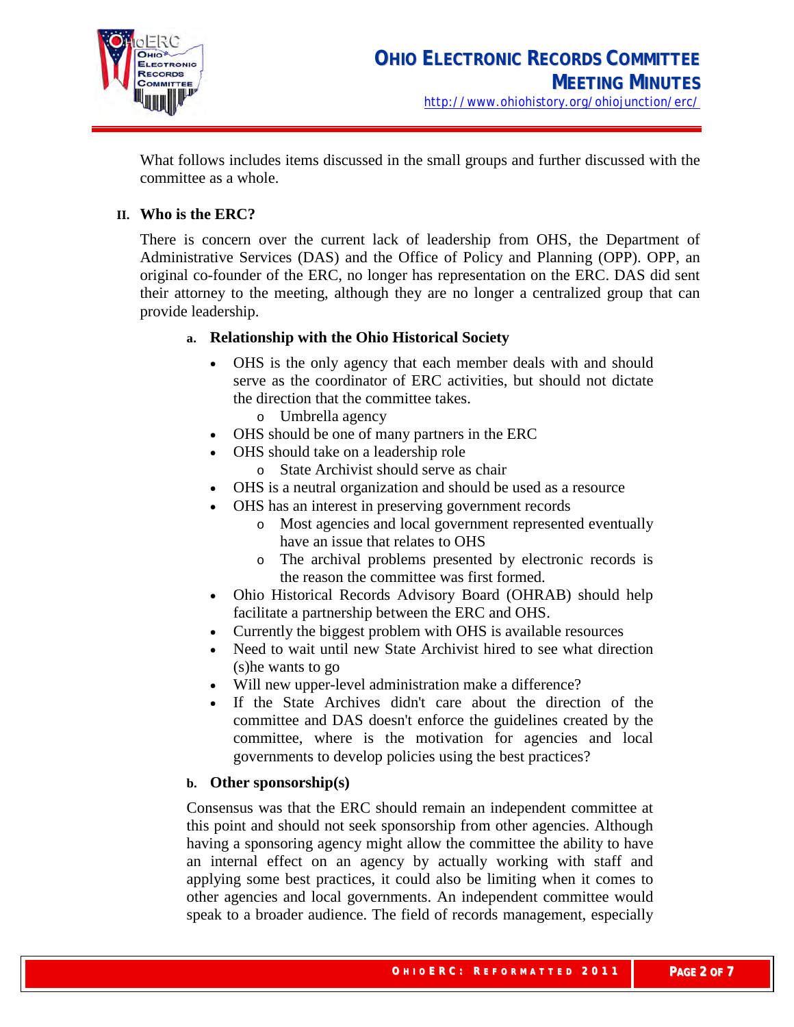

What follows includes items discussed in the small groups and further discussed with the committee as a whole.

# **II. Who is the ERC?**

There is concern over the current lack of leadership from OHS, the Department of Administrative Services (DAS) and the Office of Policy and Planning (OPP). OPP, an original co-founder of the ERC, no longer has representation on the ERC. DAS did sent their attorney to the meeting, although they are no longer a centralized group that can provide leadership.

# **a. Relationship with the Ohio Historical Society**

- OHS is the only agency that each member deals with and should serve as the coordinator of ERC activities, but should not dictate the direction that the committee takes.
	- o Umbrella agency
- OHS should be one of many partners in the ERC
- OHS should take on a leadership role
	- o State Archivist should serve as chair
- OHS is a neutral organization and should be used as a resource
- OHS has an interest in preserving government records
	- o Most agencies and local government represented eventually have an issue that relates to OHS
	- o The archival problems presented by electronic records is the reason the committee was first formed.
- Ohio Historical Records Advisory Board (OHRAB) should help facilitate a partnership between the ERC and OHS.
- Currently the biggest problem with OHS is available resources
- Need to wait until new State Archivist hired to see what direction (s)he wants to go
- Will new upper-level administration make a difference?
- If the State Archives didn't care about the direction of the committee and DAS doesn't enforce the guidelines created by the committee, where is the motivation for agencies and local governments to develop policies using the best practices?

# **b. Other sponsorship(s)**

Consensus was that the ERC should remain an independent committee at this point and should not seek sponsorship from other agencies. Although having a sponsoring agency might allow the committee the ability to have an internal effect on an agency by actually working with staff and applying some best practices, it could also be limiting when it comes to other agencies and local governments. An independent committee would speak to a broader audience. The field of records management, especially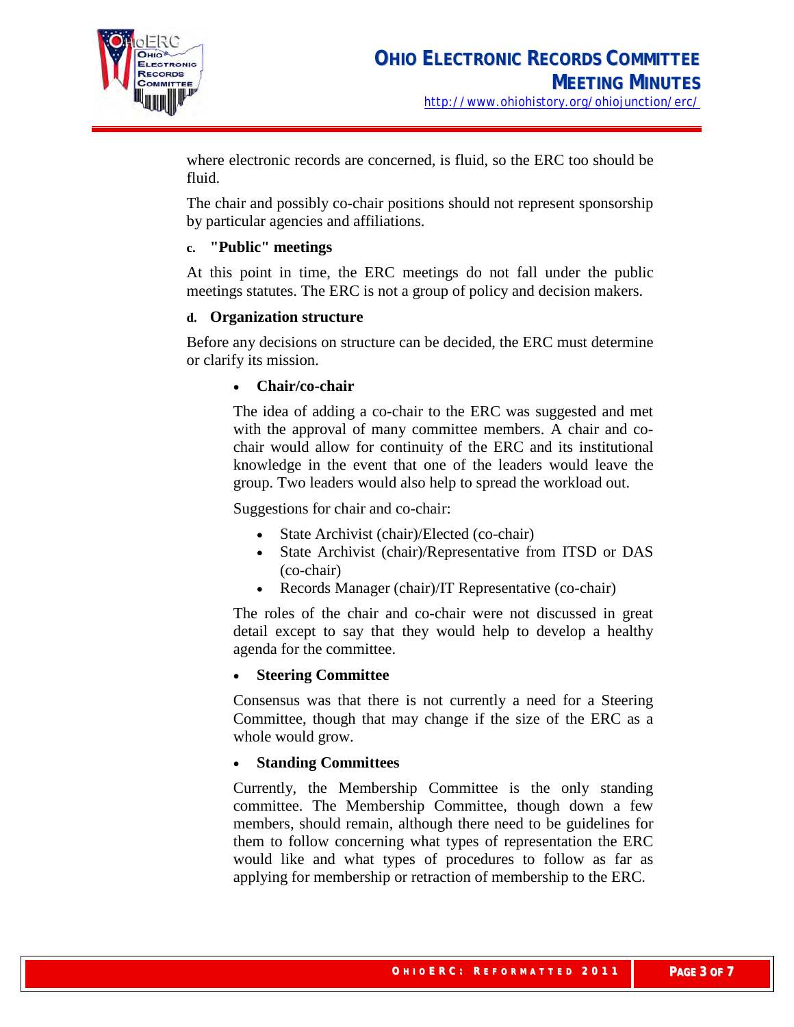

where electronic records are concerned, is fluid, so the ERC too should be fluid.

The chair and possibly co-chair positions should not represent sponsorship by particular agencies and affiliations.

## **c. "Public" meetings**

At this point in time, the ERC meetings do not fall under the public meetings statutes. The ERC is not a group of policy and decision makers.

## **d. Organization structure**

Before any decisions on structure can be decided, the ERC must determine or clarify its mission.

## • **Chair/co-chair**

The idea of adding a co-chair to the ERC was suggested and met with the approval of many committee members. A chair and cochair would allow for continuity of the ERC and its institutional knowledge in the event that one of the leaders would leave the group. Two leaders would also help to spread the workload out.

Suggestions for chair and co-chair:

- State Archivist (chair)/Elected (co-chair)
- State Archivist (chair)/Representative from ITSD or DAS (co-chair)
- Records Manager (chair)/IT Representative (co-chair)

The roles of the chair and co-chair were not discussed in great detail except to say that they would help to develop a healthy agenda for the committee.

# • **Steering Committee**

Consensus was that there is not currently a need for a Steering Committee, though that may change if the size of the ERC as a whole would grow.

## • **Standing Committees**

Currently, the Membership Committee is the only standing committee. The Membership Committee, though down a few members, should remain, although there need to be guidelines for them to follow concerning what types of representation the ERC would like and what types of procedures to follow as far as applying for membership or retraction of membership to the ERC.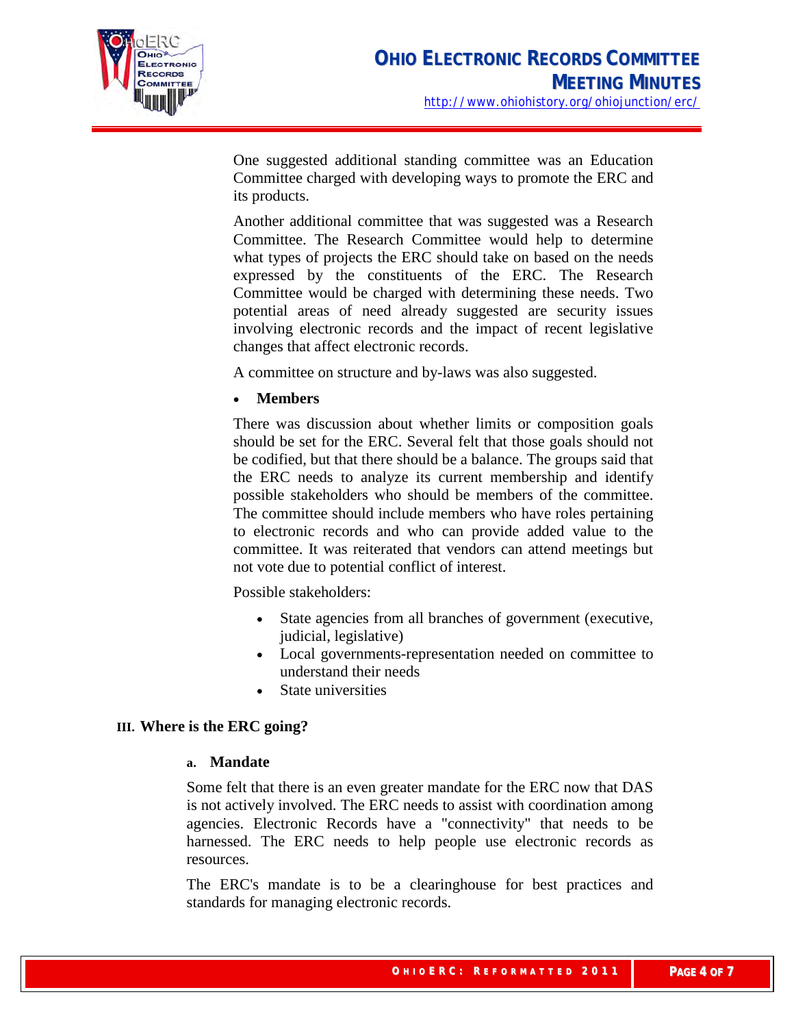

One suggested additional standing committee was an Education Committee charged with developing ways to promote the ERC and its products.

Another additional committee that was suggested was a Research Committee. The Research Committee would help to determine what types of projects the ERC should take on based on the needs expressed by the constituents of the ERC. The Research Committee would be charged with determining these needs. Two potential areas of need already suggested are security issues involving electronic records and the impact of recent legislative changes that affect electronic records.

A committee on structure and by-laws was also suggested.

## • **Members**

There was discussion about whether limits or composition goals should be set for the ERC. Several felt that those goals should not be codified, but that there should be a balance. The groups said that the ERC needs to analyze its current membership and identify possible stakeholders who should be members of the committee. The committee should include members who have roles pertaining to electronic records and who can provide added value to the committee. It was reiterated that vendors can attend meetings but not vote due to potential conflict of interest.

Possible stakeholders:

- State agencies from all branches of government (executive, judicial, legislative)
- Local governments-representation needed on committee to understand their needs
- State universities

## **III. Where is the ERC going?**

#### **a. Mandate**

Some felt that there is an even greater mandate for the ERC now that DAS is not actively involved. The ERC needs to assist with coordination among agencies. Electronic Records have a "connectivity" that needs to be harnessed. The ERC needs to help people use electronic records as resources.

The ERC's mandate is to be a clearinghouse for best practices and standards for managing electronic records.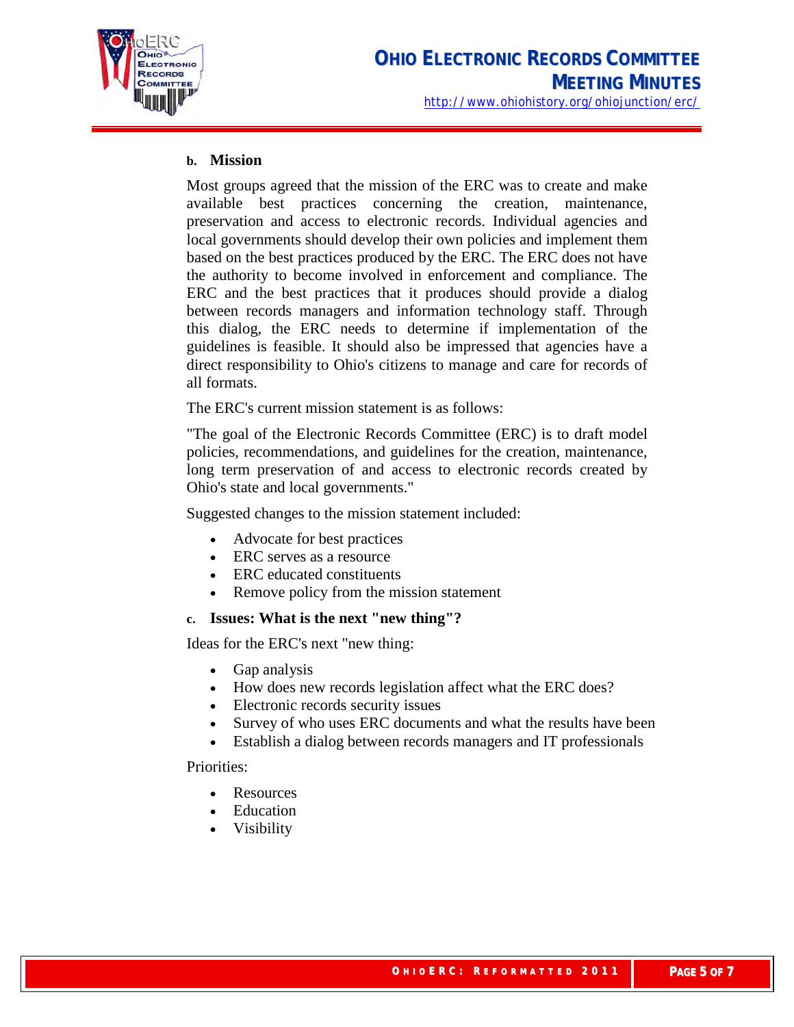

## **b. Mission**

Most groups agreed that the mission of the ERC was to create and make available best practices concerning the creation, maintenance, preservation and access to electronic records. Individual agencies and local governments should develop their own policies and implement them based on the best practices produced by the ERC. The ERC does not have the authority to become involved in enforcement and compliance. The ERC and the best practices that it produces should provide a dialog between records managers and information technology staff. Through this dialog, the ERC needs to determine if implementation of the guidelines is feasible. It should also be impressed that agencies have a direct responsibility to Ohio's citizens to manage and care for records of all formats.

The ERC's current mission statement is as follows:

"The goal of the Electronic Records Committee (ERC) is to draft model policies, recommendations, and guidelines for the creation, maintenance, long term preservation of and access to electronic records created by Ohio's state and local governments."

Suggested changes to the mission statement included:

- Advocate for best practices
- ERC serves as a resource
- ERC educated constituents
- Remove policy from the mission statement

#### **c. Issues: What is the next "new thing"?**

Ideas for the ERC's next "new thing:

- Gap analysis
- How does new records legislation affect what the ERC does?
- Electronic records security issues
- Survey of who uses ERC documents and what the results have been
- Establish a dialog between records managers and IT professionals

Priorities:

- **Resources**
- **Education**
- Visibility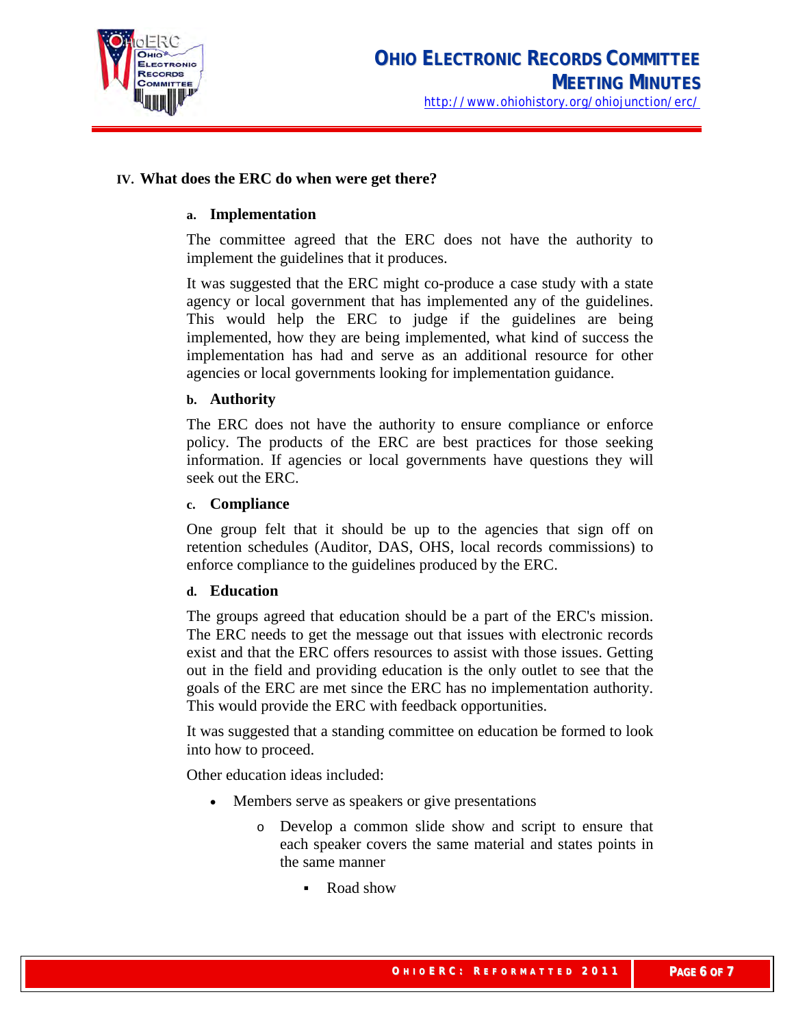

## **IV. What does the ERC do when were get there?**

#### **a. Implementation**

The committee agreed that the ERC does not have the authority to implement the guidelines that it produces.

It was suggested that the ERC might co-produce a case study with a state agency or local government that has implemented any of the guidelines. This would help the ERC to judge if the guidelines are being implemented, how they are being implemented, what kind of success the implementation has had and serve as an additional resource for other agencies or local governments looking for implementation guidance.

#### **b. Authority**

The ERC does not have the authority to ensure compliance or enforce policy. The products of the ERC are best practices for those seeking information. If agencies or local governments have questions they will seek out the ERC.

#### **c. Compliance**

One group felt that it should be up to the agencies that sign off on retention schedules (Auditor, DAS, OHS, local records commissions) to enforce compliance to the guidelines produced by the ERC.

#### **d. Education**

The groups agreed that education should be a part of the ERC's mission. The ERC needs to get the message out that issues with electronic records exist and that the ERC offers resources to assist with those issues. Getting out in the field and providing education is the only outlet to see that the goals of the ERC are met since the ERC has no implementation authority. This would provide the ERC with feedback opportunities.

It was suggested that a standing committee on education be formed to look into how to proceed.

Other education ideas included:

- Members serve as speakers or give presentations
	- o Develop a common slide show and script to ensure that each speaker covers the same material and states points in the same manner
		- Road show